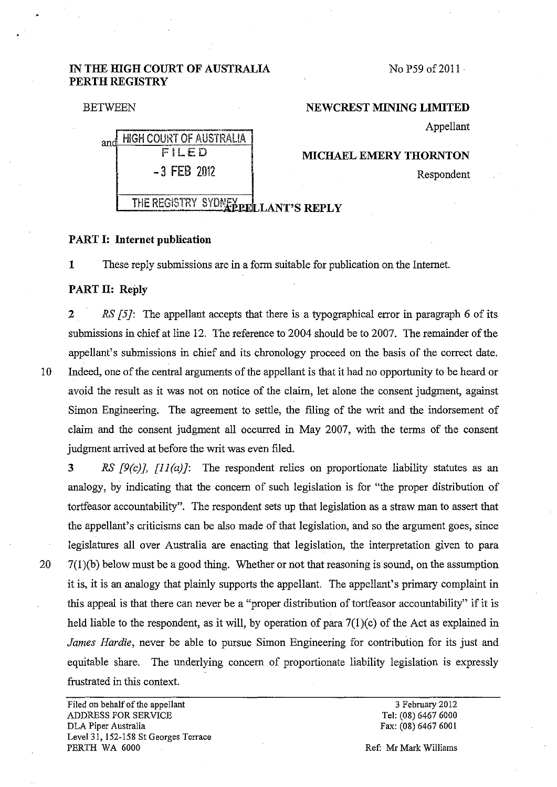# **IN THE HIGH COURT OF AUSTRALIA PERTH REGISTRY**

No P59 of 2011

### BETWEEN

#### **NEW CREST MINING LIMITED**

Appellant

**MICHAEL EMERY THORNTON**  Respondent

-3 FEB 2012 THE REGISTRY SYDNEY LLANT'S REPLY

and HIGH COURT OF AUSTRALIA FiLED

### **PART 1: Internet publication**

**1** These reply submissions are in a form suitable for publication on the Internet.

## **PART II: Reply**

**2** *RS [5]:* The appellant accepts that there is a typographical error in paragraph 6 of its submissions in chief at line 12. The reference to 2004 should be to 2007. The remainder of the appellant's submissions in chief and its chronology proceed on the basis of the correct date. 10 Indeed, one of the central arguments of the appellant is that it had no opportunity to be heard or avoid the result as it was not on notice of the claim, let alone the consent judgment, against Simon Engineering. The agreement to settle, the filing of the writ and the indorsement of claim and the consent judgment all occurred in May 2007, with the terms of the consent judgment arrived at before the writ was even filed.

**3** *RS [9(c)], [11 (a)]:* The respondent relies on proportionate liability statutes as an analogy, by indicating that the concern of such legislation is for "the proper distribution of tortfeasor accountability". The respondent sets up that legislation as a straw man to assert that the appellant's criticisms can be also made of that legislation, and so the argument goes, since legislatures all over Australia are enacting that legislation, the interpretation given to para  $20$  7(1)(b) below must be a good thing. Whether or not that reasoning is sound, on the assumption it is, it is an analogy that plainly supports the appellant. The appellant's primary complaint in this appeal is that there can never be a "proper distribution of tortfeasor accountability" if it is held liable to the respondent, as it will, by operation of para  $7(1)(c)$  of the Act as explained in *James Hardie,* never be able to pursue Simon Engineering for contribution for its just and equitable share. The underlying concern of proportionate liability legislation is expressly frustrated in this context.

Filed on behalf of the appellant ADDRESS FOR SERVICE DLA Piper Australia Level31, 152-158 St Georges Terrace PERTH WA 6000

3 February 2012 Tel: (08) 6467 6000 Fax: (08) 6467 6001

Ref: Mr Mark Williams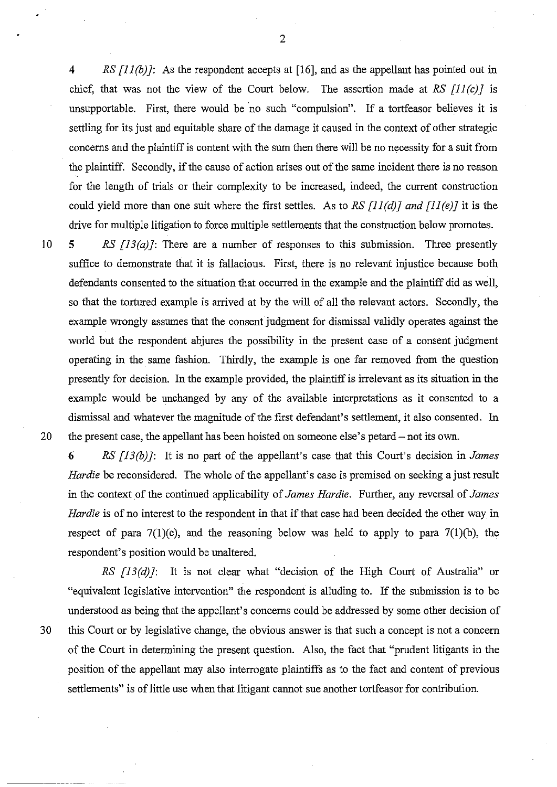4 *RS [ll(b)]:* As the respondent accepts at [16], and as the appellant has pointed out in chief, that was not the view of the Court below. The assertion made at *RS [ll(c)]* is unsupportable. First, there would be no such "compulsion". If a tortfeasor believes it is settling for its just and equitable share of the damage it caused in the context of other strategic concerns and the plaintiff is content with the sum then there will be no necessity for a suit from the plaintiff. Secondly, if the cause of action arises out of the same incident there is no reason for the length of trials or their complexity to be increased, indeed, the current construction could yield more than one suit where the first settles. As to *RS [11 (d)] and [11 (e)]* it is the drive for multiple litigation to force multiple settlements that the construction below promotes.

10 5 *RS [13(a)]:* There are a number of responses to this submission. Three presently suffice to demonstrate that it is fallacious. First, there is no relevant injustice because both defendants consented to the situation that occurred in the example and the plaintiff did as well, so that the tortured example is arrived at by the will of all the relevant actors. Secondly, the example wrongly assumes that the consent judgment for dismissal validly operates against the world but the respondent abjures the possibility in the present case of a consent judgment operating in the same fashion. Thirdly, the example is one far removed from the question presently for decision. In the example provided, the plaintiff is irrelevant as its situation in the example would be unchanged by any of the available interpretations as it consented to a dismissal and whatever the magnitude of the first defendant's settlement, it also consented. In 20 the present case, the appellant has been hoisted on someone else's petard- not its own.

6 *RS [13 (b)]:* It is no part of the appellant's case that this Court's decision in *James Hardie* be reconsidered. The whole of the appellant's case is premised on seeking a just result in the context of the continued applicability of *James Hardie.* Further, any reversal of *James Hardie* is of no interest to the respondent in that if that case had been decided the other way in respect of para  $7(1)(c)$ , and the reasoning below was held to apply to para  $7(1)(b)$ , the respondent's position would be unaltered.

---~---- --

*RS [13(d)]:* It is not clear what "decision of the High Court of Australia" or "equivalent legislative intervention" the respondent is alluding to. If the submission is to be understood as being that the appellant's concerns could be addressed by some other decision of 30 this Court or by legislative change, the obvious answer is that such a concept is not a concern of the Court in determining the present question. Also, the fact that "prudent litigants in the position of the appellant may also interrogate plaintiffs as to the fact and content of previous settlements" is of little use when that litigant cannot sue another tortfeasor for contribution.